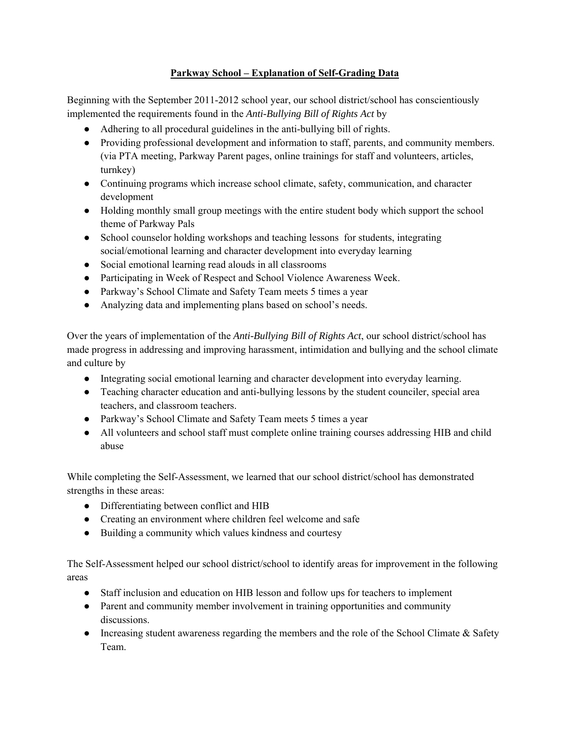## **Parkway School – Explanation of Self-Grading Data**

Beginning with the September 2011-2012 school year, our school district/school has conscientiously implemented the requirements found in the *Anti-Bullying Bill of Rights Act* by

- Adhering to all procedural guidelines in the anti-bullying bill of rights.
- Providing professional development and information to staff, parents, and community members. (via PTA meeting, Parkway Parent pages, online trainings for staff and volunteers, articles, turnkey)
- Continuing programs which increase school climate, safety, communication, and character development
- Holding monthly small group meetings with the entire student body which support the school theme of Parkway Pals
- School counselor holding workshops and teaching lessons for students, integrating social/emotional learning and character development into everyday learning
- Social emotional learning read alouds in all classrooms
- Participating in Week of Respect and School Violence Awareness Week.
- Parkway's School Climate and Safety Team meets 5 times a year
- Analyzing data and implementing plans based on school's needs.

Over the years of implementation of the *Anti-Bullying Bill of Rights Act*, our school district/school has made progress in addressing and improving harassment, intimidation and bullying and the school climate and culture by

- Integrating social emotional learning and character development into everyday learning.
- Teaching character education and anti-bullying lessons by the student counciler, special area teachers, and classroom teachers.
- Parkway's School Climate and Safety Team meets 5 times a year
- All volunteers and school staff must complete online training courses addressing HIB and child abuse

While completing the Self-Assessment, we learned that our school district/school has demonstrated strengths in these areas:

- Differentiating between conflict and HIB
- Creating an environment where children feel welcome and safe
- Building a community which values kindness and courtesy

The Self-Assessment helped our school district/school to identify areas for improvement in the following areas

- Staff inclusion and education on HIB lesson and follow ups for teachers to implement
- Parent and community member involvement in training opportunities and community discussions.
- Increasing student awareness regarding the members and the role of the School Climate & Safety Team.